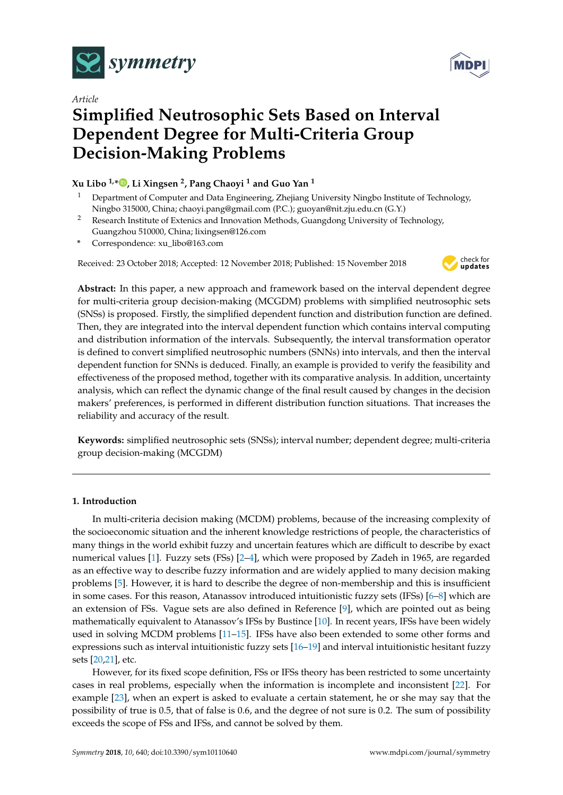

*Article*



# **Simplified Neutrosophic Sets Based on Interval Dependent Degree for Multi-Criteria Group Decision-Making Problems**

# **Xu Libo 1,\* [,](https://orcid.org/0000-0002-7779-5011) Li Xingsen <sup>2</sup> , Pang Chaoyi <sup>1</sup> and Guo Yan <sup>1</sup>**

- <sup>1</sup> Department of Computer and Data Engineering, Zhejiang University Ningbo Institute of Technology, Ningbo 315000, China; chaoyi.pang@gmail.com (P.C.); guoyan@nit.zju.edu.cn (G.Y.)
- <sup>2</sup> Research Institute of Extenics and Innovation Methods, Guangdong University of Technology, Guangzhou 510000, China; lixingsen@126.com
- **\*** Correspondence: xu\_libo@163.com

Received: 23 October 2018; Accepted: 12 November 2018; Published: 15 November 2018



**Abstract:** In this paper, a new approach and framework based on the interval dependent degree for multi-criteria group decision-making (MCGDM) problems with simplified neutrosophic sets (SNSs) is proposed. Firstly, the simplified dependent function and distribution function are defined. Then, they are integrated into the interval dependent function which contains interval computing and distribution information of the intervals. Subsequently, the interval transformation operator is defined to convert simplified neutrosophic numbers (SNNs) into intervals, and then the interval dependent function for SNNs is deduced. Finally, an example is provided to verify the feasibility and effectiveness of the proposed method, together with its comparative analysis. In addition, uncertainty analysis, which can reflect the dynamic change of the final result caused by changes in the decision makers' preferences, is performed in different distribution function situations. That increases the reliability and accuracy of the result.

**Keywords:** simplified neutrosophic sets (SNSs); interval number; dependent degree; multi-criteria group decision-making (MCGDM)

# **1. Introduction**

In multi-criteria decision making (MCDM) problems, because of the increasing complexity of the socioeconomic situation and the inherent knowledge restrictions of people, the characteristics of many things in the world exhibit fuzzy and uncertain features which are difficult to describe by exact numerical values [\[1\]](#page-12-0). Fuzzy sets (FSs) [\[2](#page-12-1)[–4\]](#page-12-2), which were proposed by Zadeh in 1965, are regarded as an effective way to describe fuzzy information and are widely applied to many decision making problems [\[5\]](#page-12-3). However, it is hard to describe the degree of non-membership and this is insufficient in some cases. For this reason, Atanassov introduced intuitionistic fuzzy sets (IFSs) [\[6–](#page-12-4)[8\]](#page-12-5) which are an extension of FSs. Vague sets are also defined in Reference [\[9\]](#page-12-6), which are pointed out as being mathematically equivalent to Atanassov's IFSs by Bustince [\[10\]](#page-12-7). In recent years, IFSs have been widely used in solving MCDM problems [\[11](#page-12-8)[–15\]](#page-12-9). IFSs have also been extended to some other forms and expressions such as interval intuitionistic fuzzy sets [\[16–](#page-12-10)[19\]](#page-12-11) and interval intuitionistic hesitant fuzzy sets [\[20](#page-12-12)[,21\]](#page-12-13), etc.

However, for its fixed scope definition, FSs or IFSs theory has been restricted to some uncertainty cases in real problems, especially when the information is incomplete and inconsistent [\[22\]](#page-12-14). For example [\[23\]](#page-12-15), when an expert is asked to evaluate a certain statement, he or she may say that the possibility of true is 0.5, that of false is 0.6, and the degree of not sure is 0.2. The sum of possibility exceeds the scope of FSs and IFSs, and cannot be solved by them.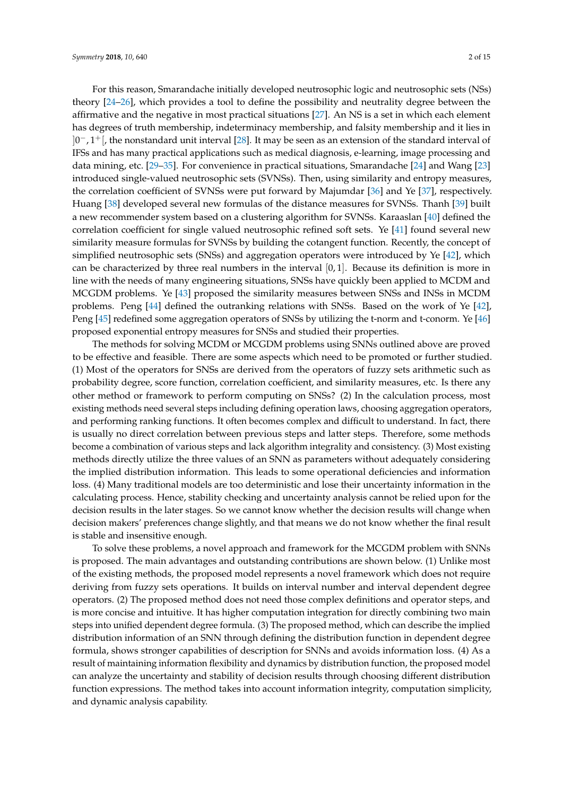For this reason, Smarandache initially developed neutrosophic logic and neutrosophic sets (NSs) theory [\[24–](#page-13-0)[26\]](#page-13-1), which provides a tool to define the possibility and neutrality degree between the affirmative and the negative in most practical situations [\[27\]](#page-13-2). An NS is a set in which each element has degrees of truth membership, indeterminacy membership, and falsity membership and it lies in  $]0^-, 1^+[$ , the nonstandard unit interval [\[28\]](#page-13-3). It may be seen as an extension of the standard interval of IFSs and has many practical applications such as medical diagnosis, e-learning, image processing and data mining, etc. [\[29–](#page-13-4)[35\]](#page-13-5). For convenience in practical situations, Smarandache [\[24\]](#page-13-0) and Wang [\[23\]](#page-12-15) introduced single-valued neutrosophic sets (SVNSs). Then, using similarity and entropy measures, the correlation coefficient of SVNSs were put forward by Majumdar [\[36\]](#page-13-6) and Ye [\[37\]](#page-13-7), respectively. Huang [\[38\]](#page-13-8) developed several new formulas of the distance measures for SVNSs. Thanh [\[39\]](#page-13-9) built a new recommender system based on a clustering algorithm for SVNSs. Karaaslan [\[40\]](#page-13-10) defined the correlation coefficient for single valued neutrosophic refined soft sets. Ye [\[41\]](#page-13-11) found several new similarity measure formulas for SVNSs by building the cotangent function. Recently, the concept of simplified neutrosophic sets (SNSs) and aggregation operators were introduced by Ye [\[42\]](#page-13-12), which can be characterized by three real numbers in the interval [0, 1]. Because its definition is more in line with the needs of many engineering situations, SNSs have quickly been applied to MCDM and MCGDM problems. Ye [\[43\]](#page-13-13) proposed the similarity measures between SNSs and INSs in MCDM problems. Peng [\[44\]](#page-13-14) defined the outranking relations with SNSs. Based on the work of Ye [\[42\]](#page-13-12), Peng [\[45\]](#page-13-15) redefined some aggregation operators of SNSs by utilizing the t-norm and t-conorm. Ye [\[46\]](#page-14-0) proposed exponential entropy measures for SNSs and studied their properties.

The methods for solving MCDM or MCGDM problems using SNNs outlined above are proved to be effective and feasible. There are some aspects which need to be promoted or further studied. (1) Most of the operators for SNSs are derived from the operators of fuzzy sets arithmetic such as probability degree, score function, correlation coefficient, and similarity measures, etc. Is there any other method or framework to perform computing on SNSs? (2) In the calculation process, most existing methods need several steps including defining operation laws, choosing aggregation operators, and performing ranking functions. It often becomes complex and difficult to understand. In fact, there is usually no direct correlation between previous steps and latter steps. Therefore, some methods become a combination of various steps and lack algorithm integrality and consistency. (3) Most existing methods directly utilize the three values of an SNN as parameters without adequately considering the implied distribution information. This leads to some operational deficiencies and information loss. (4) Many traditional models are too deterministic and lose their uncertainty information in the calculating process. Hence, stability checking and uncertainty analysis cannot be relied upon for the decision results in the later stages. So we cannot know whether the decision results will change when decision makers' preferences change slightly, and that means we do not know whether the final result is stable and insensitive enough.

To solve these problems, a novel approach and framework for the MCGDM problem with SNNs is proposed. The main advantages and outstanding contributions are shown below. (1) Unlike most of the existing methods, the proposed model represents a novel framework which does not require deriving from fuzzy sets operations. It builds on interval number and interval dependent degree operators. (2) The proposed method does not need those complex definitions and operator steps, and is more concise and intuitive. It has higher computation integration for directly combining two main steps into unified dependent degree formula. (3) The proposed method, which can describe the implied distribution information of an SNN through defining the distribution function in dependent degree formula, shows stronger capabilities of description for SNNs and avoids information loss. (4) As a result of maintaining information flexibility and dynamics by distribution function, the proposed model can analyze the uncertainty and stability of decision results through choosing different distribution function expressions. The method takes into account information integrity, computation simplicity, and dynamic analysis capability.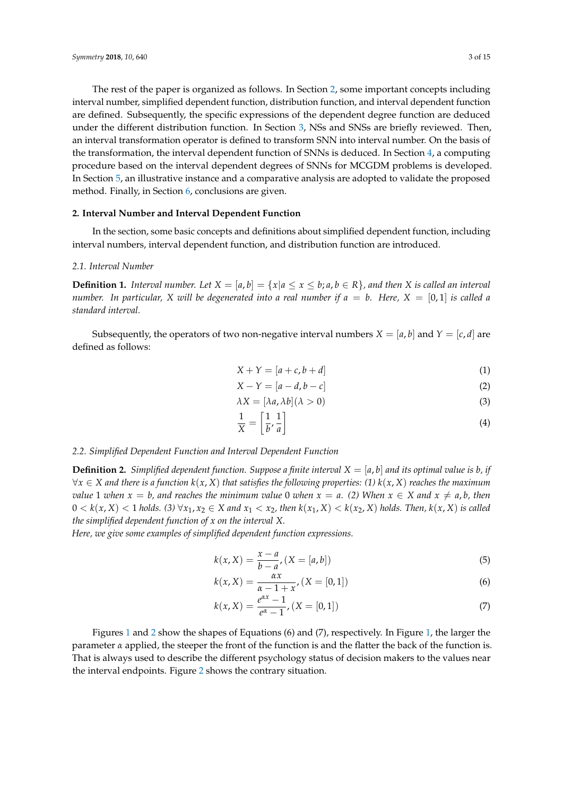The rest of the paper is organized as follows. In Section [2,](#page-2-0) some important concepts including interval number, simplified dependent function, distribution function, and interval dependent function are defined. Subsequently, the specific expressions of the dependent degree function are deduced under the different distribution function. In Section [3,](#page-5-0) NSs and SNSs are briefly reviewed. Then, an interval transformation operator is defined to transform SNN into interval number. On the basis of the transformation, the interval dependent function of SNNs is deduced. In Section [4,](#page-7-0) a computing procedure based on the interval dependent degrees of SNNs for MCGDM problems is developed. In Section [5,](#page-7-1) an illustrative instance and a comparative analysis are adopted to validate the proposed method. Finally, in Section [6,](#page-11-0) conclusions are given.

# <span id="page-2-0"></span>**2. Interval Number and Interval Dependent Function**

In the section, some basic concepts and definitions about simplified dependent function, including interval numbers, interval dependent function, and distribution function are introduced.

#### *2.1. Interval Number*

**Definition 1.** *Interval number.* Let  $X = [a, b] = \{x | a \le x \le b; a, b \in R\}$ *, and then* X *is called an interval number.* In particular, X will be degenerated into a real number if  $a = b$ . Here, X = [0,1] is called a *standard interval.*

Subsequently, the operators of two non-negative interval numbers  $X = [a, b]$  and  $Y = [c, d]$  are defined as follows:

$$
X + Y = [a + c, b + d] \tag{1}
$$

$$
X - Y = [a - d, b - c]
$$
 (2)

$$
\lambda X = [\lambda a, \lambda b](\lambda > 0) \tag{3}
$$

$$
\frac{1}{X} = \left[\frac{1}{b}, \frac{1}{a}\right] \tag{4}
$$

## *2.2. Simplified Dependent Function and Interval Dependent Function*

<span id="page-2-1"></span>**Definition 2.** *Simplified dependent function. Suppose a finite interval*  $X = [a, b]$  *and its optimal value is b, if* ∀*x* ∈ *X and there is a function k*(*x*, *X*) *that satisfies the following properties: (1) k*(*x*, *X*) *reaches the maximum value* 1 *when*  $x = b$ , and reaches the minimum value 0 *when*  $x = a$ . (2) When  $x \in X$  and  $x \neq a$ , *b*, then  $0 < k(x, X) < 1$  holds. (3)  $\forall x_1, x_2 \in X$  and  $x_1 < x_2$ , then  $k(x_1, X) < k(x_2, X)$  holds. Then,  $k(x, X)$  is called *the simplified dependent function of x on the interval X.*

*Here, we give some examples of simplified dependent function expressions.*

$$
k(x, X) = \frac{x - a}{b - a'}, (X = [a, b])
$$
\n(5)

$$
k(x, X) = \frac{\alpha x}{\alpha - 1 + x}, (X = [0, 1])
$$
\n(6)

$$
k(x, X) = \frac{e^{\alpha x} - 1}{e^{\alpha} - 1}, (X = [0, 1])
$$
\n(7)

Figures [1](#page-3-0) and [2](#page-3-1) show the shapes of Equations (6) and (7), respectively. In Figure [1,](#page-3-0) the larger the parameter  $\alpha$  applied, the steeper the front of the function is and the flatter the back of the function is. That is always used to describe the different psychology status of decision makers to the values near the interval endpoints. Figure [2](#page-3-1) shows the contrary situation.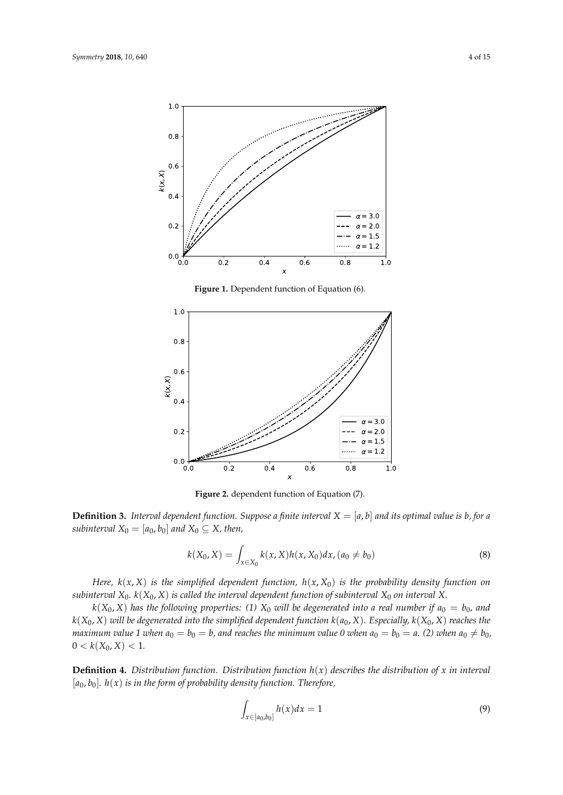<span id="page-3-0"></span>

**Figure 1.** Dependent function of Equation (6).

<span id="page-3-1"></span>

**Figure 2.** dependent function of Equation (7).

**Definition 3.** Interval dependent function. Suppose a finite interval  $X = [a, b]$  and its optimal value is b, for a *subinterval*  $X_0 = [a_0, b_0]$  *and*  $X_0 \subseteq X$ *, then,* 

$$
k(X_0, X) = \int_{x \in X_0} k(x, X) h(x, X_0) dx, (a_0 \neq b_0)
$$
\n(8)

*Here,*  $k(x, X)$  *is the simplified dependent function,*  $h(x, X_0)$  *is the probability density function on subinterval*  $X_0$ *.*  $k(X_0, X)$  *is called the interval dependent function of subinterval*  $X_0$  *on interval* X.

 $k(X_0, X)$  has the following properties: (1)  $X_0$  will be degenerated into a real number if  $a_0 = b_0$ , and  $k(X_0, X)$  *will be degenerated into the simplified dependent function*  $k(a_0, X)$ *. Especially,*  $k(X_0, X)$  *reaches the maximum value* 1 *when*  $a_0 = b_0 = b$ , and reaches the minimum value 0 *when*  $a_0 = b_0 = a$ . (2) *when*  $a_0 \neq b_0$ ,  $0 < k(X_0, X) < 1.$ 

<span id="page-3-2"></span>**Definition 4.** Distribution function. Distribution function  $h(x)$  describes the distribution of x in interval [*a*0, *b*0]*. h*(*x*) *is in the form of probability density function. Therefore,*

$$
\int_{x \in [a_0, b_0]} h(x) dx = 1 \tag{9}
$$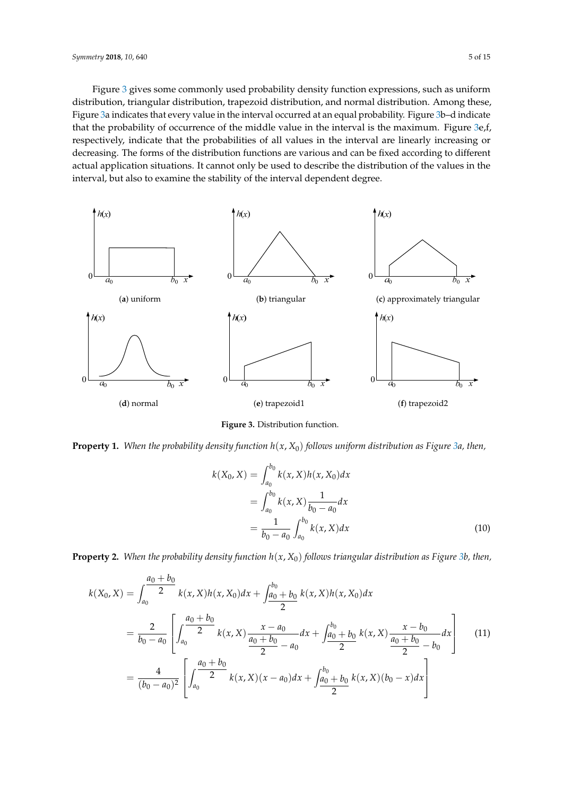Figure [3](#page-4-0) gives some commonly used probability density function expressions, such as uniform Figure 3 gives some commonly-used probability density function expressions, such as uniform distribution, triangular distribution, trapezoid distribution, and normal distribution. Among these, distribution, triangular distribution, trapezoid distribution, normal distribution. Among those, (*a*) Figure [3a](#page-4-0) indicates that every value in the interval occurred at an equal probability. Figure [3b](#page-4-0)–d indicate that the probability of occurrence of the middle value in the interval is the maximum. Figure [3e](#page-4-0), f, respectively, indicate that the probabilities of all values in the interval are linearly increasing or decreasing. The forms of the distribution functions are various and can be fixed according to different actual application situations. It cannot only be used to describe the distribution of the values in the interval, but also to examine the stability of the interval dependent degree. stability of interval dependent degree.

<span id="page-4-0"></span>

Figure 3. Distribution function.

**Property 1.** When the probability density function  $h(x, X_0)$  follows uniform distribution as Fi[gur](#page-4-0)e 3a, then,

$$
k(X_0, X) = \int_{a_0}^{b_0} k(x, X)h(x, X_0)dx
$$
  
= 
$$
\int_{a_0}^{b_0} k(x, X) \frac{1}{b_0 - a_0} dx
$$
  
= 
$$
\frac{1}{b_0 - a_0} \int_{a_0}^{b_0} k(x, X) dx
$$
 (10)

**Property 2.** *When the probability density function h*(*x*, *X*0) *follows triangular distribution as Figure 3(b),* **Property 2.** When the probability density function  $h(x, X_0)$  follows triangular distribution as Figure [3b](#page-4-0), then,

$$
k(X_0, X) = \int_{a_0}^{a_0 + b_0} k(x, X)h(x, X_0)dx + \int_{a_0 + b_0}^{b_0 + b_0} k(x, X)h(x, X_0)dx
$$
  
= 
$$
\frac{2}{b_0 - a_0} \left[ \int_{a_0}^{a_0 + b_0} \frac{x - a_0}{2} dx + \int_{a_0 + b_0}^{b_0 + b_0} k(x, X) \frac{x - b_0}{a_0 + b_0} dx \right]
$$
(11)  
= 
$$
\frac{4}{(b_0 - a_0)^2} \left[ \int_{a_0}^{a_0 + b_0} \frac{x - a_0}{2} dx + \int_{a_0 + b_0}^{b_0 + b_0} k(x, X) \frac{x - b_0}{2} dx \right]
$$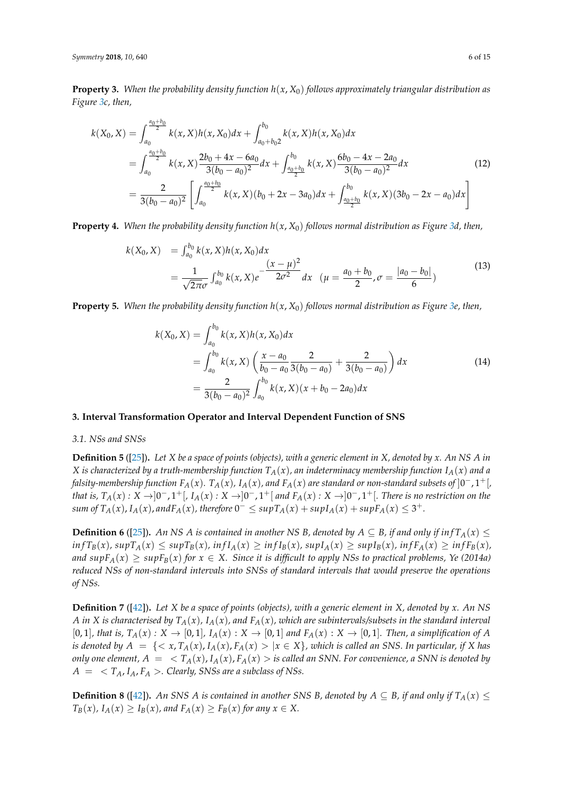**Property 3.** *When the probability density function h*(*x*, *X*0) *follows approximately triangular distribution as Figure [3c](#page-4-0), then,*

$$
k(X_0, X) = \int_{a_0}^{\frac{a_0+b_0}{2}} k(x, X)h(x, X_0)dx + \int_{a_0+b_0}^{b_0} k(x, X)h(x, X_0)dx
$$
  
= 
$$
\int_{a_0}^{\frac{a_0+b_0}{2}} k(x, X) \frac{2b_0 + 4x - 6a_0}{3(b_0 - a_0)^2} dx + \int_{\frac{a_0+b_0}{2}}^{b_0} k(x, X) \frac{6b_0 - 4x - 2a_0}{3(b_0 - a_0)^2} dx
$$
  
= 
$$
\frac{2}{3(b_0 - a_0)^2} \left[ \int_{a_0}^{\frac{a_0+b_0}{2}} k(x, X)(b_0 + 2x - 3a_0) dx + \int_{\frac{a_0+b_0}{2}}^{b_0} k(x, X)(3b_0 - 2x - a_0) dx \right]
$$
 (12)

**Property 4.** *When the probability density function h*(*x*, *X*0) *follows normal distribution as Figure [3d](#page-4-0), then,*

$$
k(X_0, X) = \int_{a_0}^{b_0} k(x, X) h(x, X_0) dx
$$
  
= 
$$
\frac{1}{\sqrt{2\pi}\sigma} \int_{a_0}^{b_0} k(x, X) e^{-\frac{(x - \mu)^2}{2\sigma^2}} dx \quad (\mu = \frac{a_0 + b_0}{2}, \sigma = \frac{|a_0 - b_0|}{6})
$$
 (13)

**Property 5.** When the probability density function  $h(x, X_0)$  follows normal distribution as Figure [3e](#page-4-0), then,

$$
k(X_0, X) = \int_{a_0}^{b_0} k(x, X)h(x, X_0)dx
$$
  
= 
$$
\int_{a_0}^{b_0} k(x, X) \left( \frac{x - a_0}{b_0 - a_0} \frac{2}{3(b_0 - a_0)} + \frac{2}{3(b_0 - a_0)} \right) dx
$$
  
= 
$$
\frac{2}{3(b_0 - a_0)^2} \int_{a_0}^{b_0} k(x, X)(x + b_0 - 2a_0) dx
$$
 (14)

# <span id="page-5-0"></span>**3. Interval Transformation Operator and Interval Dependent Function of SNS**

#### *3.1. NSs and SNSs*

**Definition 5** ([\[25\]](#page-13-16))**.** *Let X be a space of points (objects), with a generic element in X, denoted by x. An NS A in X* is characterized by a truth-membership function  $T_A(x)$ , an indeterminacy membership function  $I_A(x)$  and a falsity-membership function  $F_A(x)$ .  $T_A(x)$ ,  $I_A(x)$ , and  $F_A(x)$  are standard or non-standard subsets of  $]0^-,1^+[$ that is,  $T_A(x): X \to ]0^-, 1^+, I_A(x): X \to ]0^-, 1^+]$  and  $F_A(x): X \to ]0^-, 1^+]$ . There is no restriction on the  $\sup T_A(x)$ ,  $I_A(x)$ , and  $F_A(x)$ , therefore  $0^- \leq \sup T_A(x) + \sup I_A(x) + \sup F_A(x) \leq 3^+$ .

**Definition 6** ([\[25\]](#page-13-16)). An NS A is contained in another NS B, denoted by  $A \subseteq B$ , if and only if  $inf T_A(x) \le$  $inf T_B(x)$ ,  $sup T_A(x) \leq sup T_B(x)$ ,  $inf I_A(x) \geq inf I_B(x)$ ,  $sup I_A(x) \geq sup I_B(x)$ ,  $inf F_A(x) \geq inf F_B(x)$ , *and*  $supF_A(x) \geq supF_B(x)$  *for*  $x \in X$ . Since it is difficult to apply NSs to practical problems, Ye (2014a) *reduced NSs of non-standard intervals into SNSs of standard intervals that would preserve the operations of NSs.*

**Definition 7** ([\[42\]](#page-13-12))**.** *Let X be a space of points (objects), with a generic element in X, denoted by x. An NS A* in *X* is characterised by  $T_A(x)$ ,  $I_A(x)$ , and  $F_A(x)$ , which are subintervals/subsets in the standard interval [0,1], that is,  $T_A(x): X \to [0,1]$ ,  $I_A(x): X \to [0,1]$  and  $F_A(x): X \to [0,1]$ . Then, a simplification of A *is denoted by*  $A = \{ \langle x, T_A(x), I_A(x), F_A(x) \rangle | x \in X \}$ , which is called an SNS. In particular, if X has *only one element,*  $A = \langle T_A(x), I_A(x), F_A(x) \rangle$  *is called an SNN. For convenience, a SNN is denoted by*  $A = \langle T_A, I_A, F_A \rangle$ . Clearly, SNSs are a subclass of NSs.

**Definition 8** ([\[42\]](#page-13-12)). *An SNS A is contained in another SNS B, denoted by*  $A \subseteq B$ *, if and only if*  $T_A(x) \leq$  $T_B(x)$ ,  $I_A(x) \geq I_B(x)$ , and  $F_A(x) \geq F_B(x)$  for any  $x \in X$ .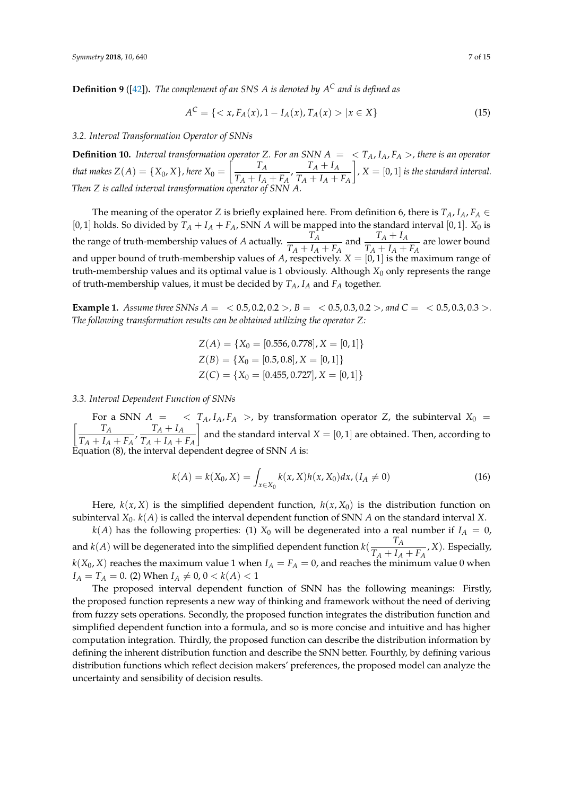<span id="page-6-0"></span>**Definition 9** ([\[42\]](#page-13-12))**.** *The complement of an SNS A is denoted by A<sup>C</sup> and is defined as*

$$
A^{C} = \{ \langle x, F_{A}(x), 1 - I_{A}(x), T_{A}(x) \rangle | x \in X \}
$$
\n(15)

#### *3.2. Interval Transformation Operator of SNNs*

<span id="page-6-1"></span>**Definition 10.** *Interval transformation operator Z. For an SNN A* = < *TA*, *IA*, *F<sup>A</sup>* >*, there is an operator that makes*  $Z(A) = \{X_0, X\}$ , here  $X_0 =$  $\int$   $T_A$  $\frac{T_A}{T_A + I_A + F_A}$ ,  $\frac{T_A + I_A}{T_A + I_A + I_A}$  $T_A + I_A + F_A$ 1 *, X* = [0, 1] *is the standard interval. Then Z is called interval transformation operator of SNN A.*

The meaning of the operator *Z* is briefly explained here. From definition 6, there is  $T_A$ ,  $I_A$ ,  $F_A \in$ [0, 1] holds. So divided by  $T_A + I_A + F_A$ , SNN *A* will be mapped into the standard interval [0, 1].  $X_0$  is the range of truth-membership values of *A* actually.  $\frac{T_A}{T_A+T_A}$  $T_A + I_A + F_A$ and  $\frac{T_A + I_A}{T_A + I_A}$  $T_A + I_A + F_A$  are lower bound and upper bound of truth-membership values of *A*, respectively. *X* = [0, 1] is the maximum range of truth-membership values and its optimal value is 1 obviously. Although  $X_0$  only represents the range of truth-membership values, it must be decided by *TA*, *I<sup>A</sup>* and *F<sup>A</sup>* together.

**Example 1.** *Assume three SNNs*  $A = \langle 0.5, 0.2, 0.2 \rangle$ ,  $B = \langle 0.5, 0.3, 0.2 \rangle$ , and  $C = \langle 0.5, 0.3, 0.3 \rangle$ . *The following transformation results can be obtained utilizing the operator Z:*

$$
Z(A) = \{X_0 = [0.556, 0.778], X = [0, 1]\}
$$
  
\n
$$
Z(B) = \{X_0 = [0.5, 0.8], X = [0, 1]\}
$$
  
\n
$$
Z(C) = \{X_0 = [0.455, 0.727], X = [0, 1]\}
$$

*3.3. Interval Dependent Function of SNNs*

For a SNN  $A = \langle T_A, I_A, F_A \rangle$ , by transformation operator *Z*, the subinterval  $X_0 = \begin{bmatrix} T_A & T_A + I_A \end{bmatrix}$  and the standard interval  $X = \begin{bmatrix} 0 & 1 \end{bmatrix}$  are obtained. Then according to  $\frac{T_A}{T_A + I_A + F_A}$ ,  $\frac{T_A + I_A}{T_A + I_A + I_A}$  $T_A + I_A + F_A$ 1 and the standard interval  $X = [0,1]$  are obtained. Then, according to Equation (8), the interval dependent degree of SNN *A* is:

$$
k(A) = k(X_0, X) = \int_{x \in X_0} k(x, X)h(x, X_0)dx, (I_A \neq 0)
$$
\n(16)

Here,  $k(x, X)$  is the simplified dependent function,  $h(x, X_0)$  is the distribution function on subinterval *X*0. *k*(*A*) is called the interval dependent function of SNN *A* on the standard interval *X*.

 $k(A)$  has the following properties: (1)  $X_0$  will be degenerated into a real number if  $I_A = 0$ , and  $k(A)$  will be degenerated into the simplified dependent function  $k(\frac{T_A}{T_A+I_A})$  $\frac{A}{T_A + I_A + F_A}$ , *X*). Especially,  $k(X_0, X)$  reaches the maximum value 1 when  $I_A = F_A = 0$ , and reaches the minimum value 0 when  $I_A = T_A = 0$ . (2) When  $I_A \neq 0$ ,  $0 < k(A) < 1$ 

The proposed interval dependent function of SNN has the following meanings: Firstly, the proposed function represents a new way of thinking and framework without the need of deriving from fuzzy sets operations. Secondly, the proposed function integrates the distribution function and simplified dependent function into a formula, and so is more concise and intuitive and has higher computation integration. Thirdly, the proposed function can describe the distribution information by defining the inherent distribution function and describe the SNN better. Fourthly, by defining various distribution functions which reflect decision makers' preferences, the proposed model can analyze the uncertainty and sensibility of decision results.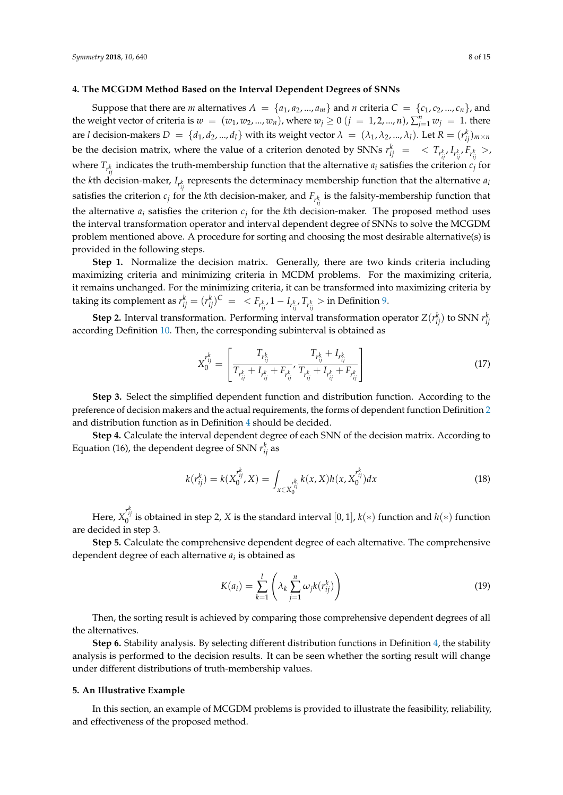# <span id="page-7-0"></span>**4. The MCGDM Method Based on the Interval Dependent Degrees of SNNs**

Suppose that there are *m* alternatives  $A = \{a_1, a_2, ..., a_m\}$  and *n* criteria  $C = \{c_1, c_2, ..., c_n\}$ , and the weight vector of criteria is  $w = (w_1, w_2, ..., w_n)$ , where  $w_j \ge 0$   $(j = 1, 2, ..., n)$ ,  $\sum_{j=1}^{n} w_j = 1$ . there are *l* decision-makers  $D = \{d_1, d_2, ..., d_l\}$  with its weight vector  $\lambda = (\lambda_1, \lambda_2, ..., \lambda_l)$ . Let  $R = (r_{ij}^k)_{m \times n}$ be the decision matrix, where the value of a criterion denoted by SNNs  $r_{ij}^k$  =  $\langle T_{r_{ij}^k}, T_{r_{ij}^k}, F_{r_{ij}^k}, \rangle$ where  $T_{r_{ij}^k}$  indicates the truth-membership function that the alternative  $a_i$  satisfies the criterion  $c_j$  for the *k*th decision-maker, *I*<sub>*r*<sup>*k*</sup></sup><sub>*ij*</sub></sub> represents the determinacy membership function that the alternative *a*<sub>*i*</sub> satisfies the criterion  $c_j$  for the *k*th decision-maker, and  $F_{r_{ij}^k}$  is the falsity-membership function that the alternative  $a_i$  satisfies the criterion  $c_j$  for the *k*th decision-maker. The proposed method uses the interval transformation operator and interval dependent degree of SNNs to solve the MCGDM problem mentioned above. A procedure for sorting and choosing the most desirable alternative(s) is provided in the following steps.

**Step 1.** Normalize the decision matrix. Generally, there are two kinds criteria including maximizing criteria and minimizing criteria in MCDM problems. For the maximizing criteria, it remains unchanged. For the minimizing criteria, it can be transformed into maximizing criteria by taking its complement as  $r_{ij}^k = (r_{ij}^k)^C \; = \; ,  $1-I_{r_{ij}^k}$ ,  $T_{r_{ij}^k} >$  in Definition [9.](#page-6-0)$ 

**Step 2.** Interval transformation. Performing interval transformation operator  $Z(r_{ij}^k)$  to SNN  $r_{ij}^k$ according Definition [10.](#page-6-1) Then, the corresponding subinterval is obtained as

$$
X_{0}^{r_{ij}^k} = \left[ \frac{T_{r_{ij}^k}}{T_{r_{ij}^k} + I_{r_{ij}^k} + F_{r_{ij}^k}} , \frac{T_{r_{ij}^k} + I_{r_{ij}^k}}{T_{r_{ij}^k} + I_{r_{ij}^k} + F_{r_{ij}^k}} \right]
$$
(17)

**Step 3.** Select the simplified dependent function and distribution function. According to the preference of decision makers and the actual requirements, the forms of dependent function Definition [2](#page-2-1) and distribution function as in Definition [4](#page-3-2) should be decided.

**Step 4.** Calculate the interval dependent degree of each SNN of the decision matrix. According to Equation (16), the dependent degree of SNN  $r_{ij}^k$  as

$$
k(r_{ij}^k) = k(X_0^{r_{ij}^k}, X) = \int_{x \in X_0^{r_{ij}^k}} k(x, X)h(x, X_0^{r_{ij}^k}) dx
$$
\n(18)

Here,  $X_0^{r_{ij}^k}$  is obtained in step 2, *X* is the standard interval  $[0,1]$ ,  $k(*)$  function and  $h(*)$  function are decided in step 3.

**Step 5.** Calculate the comprehensive dependent degree of each alternative. The comprehensive dependent degree of each alternative *a<sup>i</sup>* is obtained as

<span id="page-7-2"></span>
$$
K(a_i) = \sum_{k=1}^{l} \left( \lambda_k \sum_{j=1}^{n} \omega_j k(r_{ij}^k) \right)
$$
 (19)

Then, the sorting result is achieved by comparing those comprehensive dependent degrees of all the alternatives.

**Step 6.** Stability analysis. By selecting different distribution functions in Definition [4,](#page-3-2) the stability analysis is performed to the decision results. It can be seen whether the sorting result will change under different distributions of truth-membership values.

#### <span id="page-7-1"></span>**5. An Illustrative Example**

In this section, an example of MCGDM problems is provided to illustrate the feasibility, reliability, and effectiveness of the proposed method.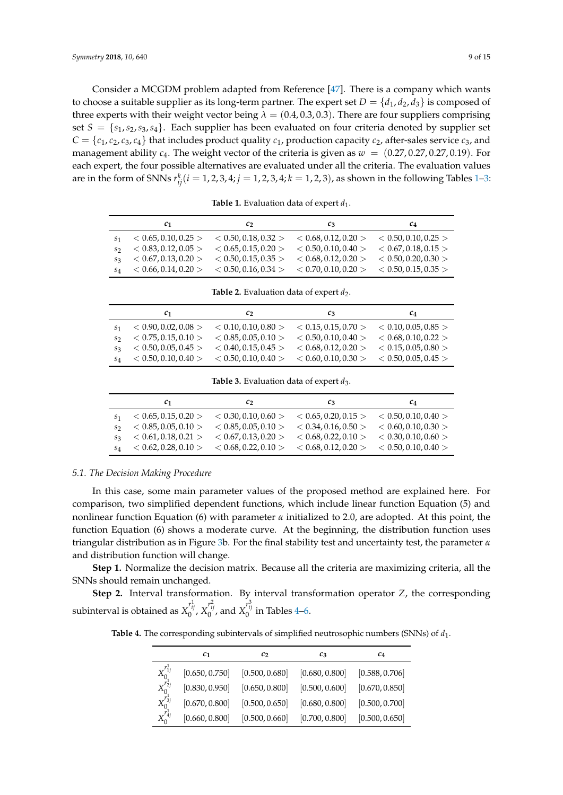Consider a MCGDM problem adapted from Reference [\[47\]](#page-14-1). There is a company which wants to choose a suitable supplier as its long-term partner. The expert set  $D = \{d_1, d_2, d_3\}$  is composed of three experts with their weight vector being  $\lambda = (0.4, 0.3, 0.3)$ . There are four suppliers comprising set  $S = \{s_1, s_2, s_3, s_4\}$ . Each supplier has been evaluated on four criteria denoted by supplier set  $C = \{c_1, c_2, c_3, c_4\}$  that includes product quality  $c_1$ , production capacity  $c_2$ , after-sales service  $c_3$ , and management ability  $c_4$ . The weight vector of the criteria is given as  $w = (0.27, 0.27, 0.27, 0.19)$ . For each expert, the four possible alternatives are evaluated under all the criteria. The evaluation values are in the form of SNNs  $r_{ij}^k(i=1,2,3,4; j=1,2,3,4; k=1,2,3)$ , as shown in the following Tables [1–](#page-8-0)[3:](#page-8-1)

<span id="page-8-0"></span>

| $c_{1}$                                                                                               | $\mathcal{C}$ | $c_3$ | $c_{4}$ |
|-------------------------------------------------------------------------------------------------------|---------------|-------|---------|
| $s_1 \leq 0.65, 0.10, 0.25 > \leq 0.50, 0.18, 0.32 > \leq 0.68, 0.12, 0.20 > \leq 0.50, 0.10, 0.25 >$ |               |       |         |
| $s_2 \leq 0.83, 0.12, 0.05 > \leq 0.65, 0.15, 0.20 > \leq 0.50, 0.10, 0.40 > \leq 0.67, 0.18, 0.15 >$ |               |       |         |
| $s_3 \leq 0.67, 0.13, 0.20 > \leq 0.50, 0.15, 0.35 > \leq 0.68, 0.12, 0.20 > \leq 0.50, 0.20, 0.30 >$ |               |       |         |
| $s_4 \leq 0.66, 0.14, 0.20 > \leq 0.50, 0.16, 0.34 > \leq 0.70, 0.10, 0.20 > \leq 0.50, 0.15, 0.35 >$ |               |       |         |

**Table 1.** Evaluation data of expert  $d_1$ .

|                | $c_{1}$              | $c_2$                                                                                                 | $c_3$ | $c_{4}$ |
|----------------|----------------------|-------------------------------------------------------------------------------------------------------|-------|---------|
| S <sub>1</sub> |                      | $< 0.90, 0.02, 0.08 > 0.10, 0.10, 0.80 > 0.15, 0.15, 0.70 > 0.10, 0.05, 0.85 >$                       |       |         |
| S <sub>2</sub> | < 0.75, 0.15, 0.10 > | $< 0.85, 0.05, 0.10 > < 0.50, 0.10, 0.40 > < 0.68, 0.10, 0.22 >$                                      |       |         |
| $S_3$          |                      | $< 0.50, 0.05, 0.45 > 0.40, 0.15, 0.45 > 0.68, 0.12, 0.20 > 0.15, 0.05, 0.80 >$                       |       |         |
|                |                      | $s_4 \leq 0.50, 0.10, 0.40 > \leq 0.50, 0.10, 0.40 > \leq 0.60, 0.10, 0.30 > \leq 0.50, 0.05, 0.45 >$ |       |         |

Table 2. Evaluation data of expert  $d_2$ .

**Table 3.** Evaluation data of expert  $d_3$ .

<span id="page-8-1"></span>

|         | $c_{1}$                                               | $\mathcal{C}$                               | $c_3$                                                                                                 | $c_4$ |
|---------|-------------------------------------------------------|---------------------------------------------|-------------------------------------------------------------------------------------------------------|-------|
|         |                                                       | $< 0.65, 0.15, 0.20 > < 0.30, 0.10, 0.60 >$ | $< 0.65, 0.20, 0.15 > < 0.50, 0.10, 0.40 >$                                                           |       |
| $S_{2}$ |                                                       |                                             | $< 0.85, 0.05, 0.10 > 0.85, 0.05, 0.10 > 0.34, 0.16, 0.50 > 0.60, 0.10, 0.30 >$                       |       |
|         | $s_3 \leq 0.61, 0.18, 0.21 > \leq 0.67, 0.13, 0.20 >$ |                                             | $< 0.68, 0.22, 0.10 > < 0.30, 0.10, 0.60 >$                                                           |       |
|         |                                                       |                                             | $s_4 \leq 0.62, 0.28, 0.10 > \leq 0.68, 0.22, 0.10 > \leq 0.68, 0.12, 0.20 > \leq 0.50, 0.10, 0.40 >$ |       |

#### *5.1. The Decision Making Procedure*

In this case, some main parameter values of the proposed method are explained here. For comparison, two simplified dependent functions, which include linear function Equation (5) and nonlinear function Equation (6) with parameter *α* initialized to 2.0, are adopted. At this point, the function Equation (6) shows a moderate curve. At the beginning, the distribution function uses triangular distribution as in Figure [3b](#page-4-0). For the final stability test and uncertainty test, the parameter *α* and distribution function will change.

**Step 1.** Normalize the decision matrix. Because all the criteria are maximizing criteria, all the SNNs should remain unchanged.

<span id="page-8-2"></span>**Step 2.** Interval transformation. By interval transformation operator *Z*, the corresponding subinterval is obtained as  $X_0^{r^1_{ij}}$ ,  $X_0^{r^2_{ij}}$ , and  $X_0^{r^3_{ij}}$  in Tables [4–](#page-8-2)[6.](#page-9-0)

**Table 4.** The corresponding subintervals of simplified neutrosophic numbers (SNNs) of *d*<sup>1</sup> .

|                                          | $c_{1}$        | $c_2$          | $c_3$          | $c_4$          |
|------------------------------------------|----------------|----------------|----------------|----------------|
| $X_{0}^{r_{1j}^{1}}$                     | [0.650, 0.750] | [0.500, 0.680] | [0.680, 0.800] | [0.588, 0.706] |
| $X_{0}^{r_{2j}^1}$<br>$X_{0}^{r_{3j}^1}$ | [0.830, 0.950] | [0.650, 0.800] | [0.500, 0.600] | [0.670, 0.850] |
|                                          | [0.670, 0.800] | [0.500, 0.650] | [0.680, 0.800] | [0.500, 0.700] |
| $X_0^{r_{4j}^1}$                         | [0.660, 0.800] | [0.500, 0.660] | [0.700, 0.800] | [0.500, 0.650] |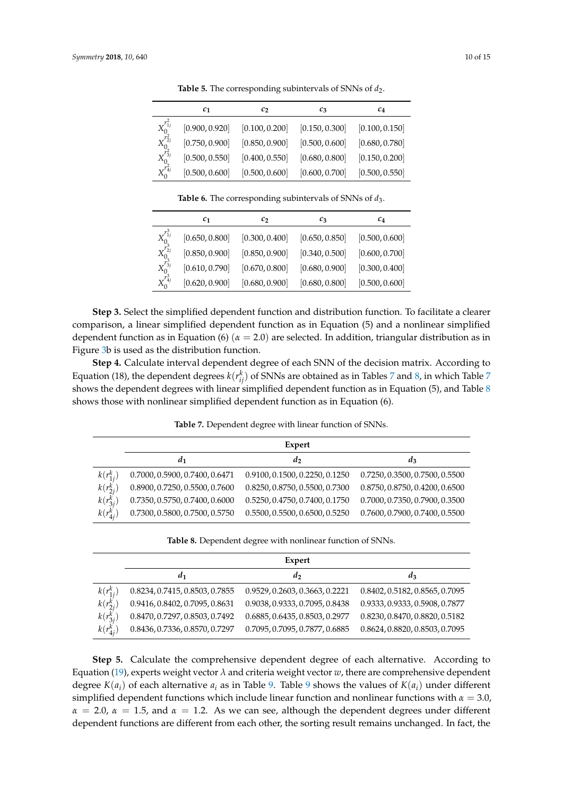|                                                          | $c_{1}$        | c <sub>2</sub> | $c_3$          | $c_4$          |
|----------------------------------------------------------|----------------|----------------|----------------|----------------|
| $X^{r^2_{1j}}_{0} \ X^{r^2_{2j}}_{0} \ X^{r^2_{3j}}_{0}$ | [0.900, 0.920] | [0.100, 0.200] | [0.150, 0.300] | [0.100, 0.150] |
|                                                          | [0.750, 0.900] | [0.850, 0.900] | [0.500, 0.600] | [0.680, 0.780] |
|                                                          | [0.500, 0.550] | [0.400, 0.550] | [0.680, 0.800] | [0.150, 0.200] |
| $X_0^{\tilde{r}_{4j}^2}$                                 | [0.500, 0.600] | [0.500, 0.600] | [0.600, 0.700] | [0.500, 0.550] |

Table 5. The corresponding subintervals of SNNs of  $d_2$ .

**Table 6.** The corresponding subintervals of SNNs of *d*3.

<span id="page-9-0"></span>

|                                                                  | $c_{1}$        | c <sub>2</sub> | $c_3$          | $c_4$          |
|------------------------------------------------------------------|----------------|----------------|----------------|----------------|
| $X_0^{r^3_{1j}}\ X_0^{r^3_{2j}}\ X_0^{r^3_{3j}}\ X_0^{r^3_{4j}}$ | [0.650, 0.800] | [0.300, 0.400] | [0.650, 0.850] | [0.500, 0.600] |
|                                                                  | [0.850, 0.900] | [0.850, 0.900] | [0.340, 0.500] | [0.600, 0.700] |
|                                                                  | [0.610, 0.790] | [0.670, 0.800] | [0.680, 0.900] | [0.300, 0.400] |
|                                                                  | [0.620, 0.900] | [0.680, 0.900] | [0.680, 0.800] | [0.500, 0.600] |

**Step 3.** Select the simplified dependent function and distribution function. To facilitate a clearer comparison, a linear simplified dependent function as in Equation (5) and a nonlinear simplified dependent function as in Equation (6) (*α* = 2.0) are selected. In addition, triangular distribution as in Figure [3b](#page-4-0) is used as the distribution function.

**Step 4.** Calculate interval dependent degree of each SNN of the decision matrix. According to Equation (18), the dependent degrees  $k(r_{ij}^k)$  of SNNs are obtained as in Tables [7](#page-9-1) and [8,](#page-9-2) in which Table 7 shows the dependent degrees with linear simplified dependent function as in Equation (5), and Table [8](#page-9-2) shows those with nonlinear simplified dependent function as in Equation (6).

<span id="page-9-1"></span>**Expert** *d***1** *d***2** *d***3**  $k(r_{1j}^k)$ ) 0.7000, 0.5900, 0.7400, 0.6471 0.9100, 0.1500, 0.2250, 0.1250 0.7250, 0.3500, 0.7500, 0.5500 *k*(*r k* 2*j* ) 0.8900, 0.7250, 0.5500, 0.7600 0.8250, 0.8750, 0.5500, 0.7300 0.8750, 0.8750, 0.4200, 0.6500  $k(r_{3j}^k)$ 0.7350, 0.5750, 0.7400, 0.6000 0.5250, 0.4750, 0.7400, 0.1750 0.7000, 0.7350, 0.7900, 0.3500  $k(r_{4j}^k)$ ) 0.7300, 0.5800, 0.7500, 0.5750 0.5500, 0.5500, 0.6500, 0.5250 0.7600, 0.7900, 0.7400, 0.5500

**Table 7.** Dependent degree with linear function of SNNs.

**Table 8.** Dependent degree with nonlinear function of SNNs.

<span id="page-9-2"></span>

|                                                                        | Expert                         |                                |                                |  |  |  |  |
|------------------------------------------------------------------------|--------------------------------|--------------------------------|--------------------------------|--|--|--|--|
|                                                                        | a1                             | $d_2$                          | $a_3$                          |  |  |  |  |
| $\begin{array}{c} k(r_{1j}^k)\\ k(r_{2j}^k)\\ k(r_{3j}^k) \end{array}$ | 0.8234, 0.7415, 0.8503, 0.7855 | 0.9529, 0.2603, 0.3663, 0.2221 | 0.8402, 0.5182, 0.8565, 0.7095 |  |  |  |  |
|                                                                        | 0.9416, 0.8402, 0.7095, 0.8631 | 0.9038, 0.9333, 0.7095, 0.8438 | 0.9333, 0.9333, 0.5908, 0.7877 |  |  |  |  |
|                                                                        | 0.8470, 0.7297, 0.8503, 0.7492 | 0.6885, 0.6435, 0.8503, 0.2977 | 0.8230, 0.8470, 0.8820, 0.5182 |  |  |  |  |
| $k(r_{4j}^k)$                                                          | 0.8436, 0.7336, 0.8570, 0.7297 | 0.7095, 0.7095, 0.7877, 0.6885 | 0.8624, 0.8820, 0.8503, 0.7095 |  |  |  |  |

**Step 5.** Calculate the comprehensive dependent degree of each alternative. According to Equation [\(19\)](#page-7-2), experts weight vector  $\lambda$  and criteria weight vector *w*, there are comprehensive dependent degree  $K(a_i)$  of each alternative  $a_i$  as in Table [9.](#page-10-0) Table [9](#page-10-0) shows the values of  $K(a_i)$  under different simplified dependent functions which include linear function and nonlinear functions with  $\alpha = 3.0$ ,  $\alpha = 2.0$ ,  $\alpha = 1.5$ , and  $\alpha = 1.2$ . As we can see, although the dependent degrees under different dependent functions are different from each other, the sorting result remains unchanged. In fact, the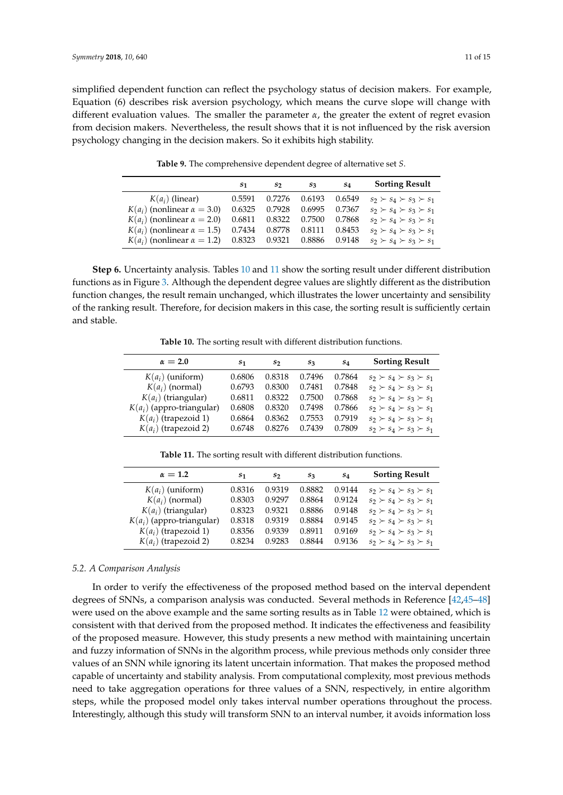simplified dependent function can reflect the psychology status of decision makers. For example, Equation (6) describes risk aversion psychology, which means the curve slope will change with different evaluation values. The smaller the parameter *α*, the greater the extent of regret evasion from decision makers. Nevertheless, the result shows that it is not influenced by the risk aversion psychology changing in the decision makers. So it exhibits high stability.

<span id="page-10-0"></span>

|                                      | $S_{1}$ | S2     | $S_3$  | $S_{4}$ | <b>Sorting Result</b>               |
|--------------------------------------|---------|--------|--------|---------|-------------------------------------|
| $K(a_i)$ (linear)                    | 0.5591  | 0.7276 | 0.6193 | 0.6549  | $s_2 \succ s_4 \succ s_3 \succ s_1$ |
| $K(a_i)$ (nonlinear $\alpha = 3.0$ ) | 0.6325  | 0.7928 | 0.6995 | 0.7367  | $s_2 \succ s_4 \succ s_3 \succ s_1$ |
| $K(a_i)$ (nonlinear $\alpha = 2.0$ ) | 0.6811  | 0.8322 | 0.7500 | 0.7868  | $s_2 \succ s_4 \succ s_3 \succ s_1$ |
| $K(a_i)$ (nonlinear $\alpha = 1.5$ ) | 0.7434  | 0.8778 | 0.8111 | 0.8453  | $s_2 \succ s_4 \succ s_3 \succ s_1$ |
| $K(a_i)$ (nonlinear $\alpha = 1.2$ ) | 0.8323  | 0.9321 | 0.8886 | 0.9148  | $s_2 \succ s_4 \succ s_3 \succ s_1$ |

**Table 9.** The comprehensive dependent degree of alternative set *S*.

**Step 6.** Uncertainty analysis. Tables [10](#page-10-1) and [11](#page-10-2) show the sorting result under different distribution functions as in Figure [3.](#page-4-0) Although the dependent degree values are slightly different as the distribution function changes, the result remain unchanged, which illustrates the lower uncertainty and sensibility of the ranking result. Therefore, for decision makers in this case, the sorting result is sufficiently certain and stable.

**Table 10.** The sorting result with different distribution functions.

<span id="page-10-1"></span>

| $\alpha = 2.0$              | S1     | S7     | $S_3$  | $S_{4}$ | <b>Sorting Result</b>               |
|-----------------------------|--------|--------|--------|---------|-------------------------------------|
| $K(a_i)$ (uniform)          | 0.6806 | 0.8318 | 0.7496 | 0.7864  | $s_2 \succ s_4 \succ s_3 \succ s_1$ |
| $K(a_i)$ (normal)           | 0.6793 | 0.8300 | 0.7481 | 0.7848  | $s_2 \succ s_4 \succ s_3 \succ s_1$ |
| $K(a_i)$ (triangular)       | 0.6811 | 0.8322 | 0.7500 | 0.7868  | $s_2 \succ s_4 \succ s_3 \succ s_1$ |
| $K(a_i)$ (appro-triangular) | 0.6808 | 0.8320 | 0.7498 | 0.7866  | $s_2 \succ s_4 \succ s_3 \succ s_1$ |
| $K(a_i)$ (trapezoid 1)      | 0.6864 | 0.8362 | 0.7553 | 0.7919  | $s_2 \succ s_4 \succ s_3 \succ s_1$ |
| $K(a_i)$ (trapezoid 2)      | 0.6748 | 0.8276 | 0.7439 | 0.7809  | $s_2 \succ s_4 \succ s_3 \succ s_1$ |

**Table 11.** The sorting result with different distribution functions.

<span id="page-10-2"></span>

| $\alpha = 1.2$              | S <sub>1</sub> | S7     | $S_3$  | S4     | <b>Sorting Result</b>               |
|-----------------------------|----------------|--------|--------|--------|-------------------------------------|
| $K(a_i)$ (uniform)          | 0.8316         | 0.9319 | 0.8882 | 0.9144 | $s_2 \succ s_4 \succ s_3 \succ s_1$ |
| $K(a_i)$ (normal)           | 0.8303         | 0.9297 | 0.8864 | 0.9124 | $s_2 \succ s_4 \succ s_3 \succ s_1$ |
| $K(a_i)$ (triangular)       | 0.8323         | 0.9321 | 0.8886 | 0.9148 | $s_2 \succ s_4 \succ s_3 \succ s_1$ |
| $K(a_i)$ (appro-triangular) | 0.8318         | 0.9319 | 0.8884 | 0.9145 | $s_2 \succ s_4 \succ s_3 \succ s_1$ |
| $K(a_i)$ (trapezoid 1)      | 0.8356         | 0.9339 | 0.8911 | 0.9169 | $s_2 \succ s_4 \succ s_3 \succ s_1$ |
| $K(a_i)$ (trapezoid 2)      | 0.8234         | 0.9283 | 0.8844 | 0.9136 | $s_2 \succ s_4 \succ s_3 \succ s_1$ |

#### *5.2. A Comparison Analysis*

In order to verify the effectiveness of the proposed method based on the interval dependent degrees of SNNs, a comparison analysis was conducted. Several methods in Reference [\[42](#page-13-12)[,45](#page-13-15)[–48\]](#page-14-2) were used on the above example and the same sorting results as in Table [12](#page-11-1) were obtained, which is consistent with that derived from the proposed method. It indicates the effectiveness and feasibility of the proposed measure. However, this study presents a new method with maintaining uncertain and fuzzy information of SNNs in the algorithm process, while previous methods only consider three values of an SNN while ignoring its latent uncertain information. That makes the proposed method capable of uncertainty and stability analysis. From computational complexity, most previous methods need to take aggregation operations for three values of a SNN, respectively, in entire algorithm steps, while the proposed model only takes interval number operations throughout the process. Interestingly, although this study will transform SNN to an interval number, it avoids information loss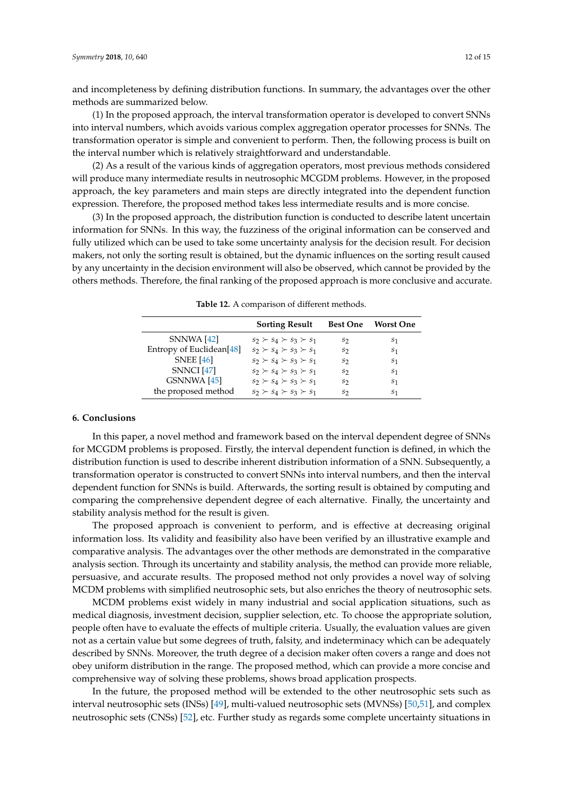and incompleteness by defining distribution functions. In summary, the advantages over the other methods are summarized below.

(1) In the proposed approach, the interval transformation operator is developed to convert SNNs into interval numbers, which avoids various complex aggregation operator processes for SNNs. The transformation operator is simple and convenient to perform. Then, the following process is built on the interval number which is relatively straightforward and understandable.

(2) As a result of the various kinds of aggregation operators, most previous methods considered will produce many intermediate results in neutrosophic MCGDM problems. However, in the proposed approach, the key parameters and main steps are directly integrated into the dependent function expression. Therefore, the proposed method takes less intermediate results and is more concise.

(3) In the proposed approach, the distribution function is conducted to describe latent uncertain information for SNNs. In this way, the fuzziness of the original information can be conserved and fully utilized which can be used to take some uncertainty analysis for the decision result. For decision makers, not only the sorting result is obtained, but the dynamic influences on the sorting result caused by any uncertainty in the decision environment will also be observed, which cannot be provided by the others methods. Therefore, the final ranking of the proposed approach is more conclusive and accurate.

<span id="page-11-1"></span>

|                                      | <b>Sorting Result</b>               | <b>Best One</b> | <b>Worst One</b> |
|--------------------------------------|-------------------------------------|-----------------|------------------|
| SNNWA [42]                           | $s_2 \succ s_4 \succ s_3 \succ s_1$ | S7              | S <sub>1</sub>   |
| Entropy of Euclidean <sup>[48]</sup> | $s_2 \succ s_4 \succ s_3 \succ s_1$ | $S_{2}$         | S <sub>1</sub>   |
| <b>SNEE</b> [46]                     | $s_2 \succ s_4 \succ s_3 \succ s_1$ | $S_{2}$         | S <sub>1</sub>   |
| <b>SNNCI</b> [47]                    | $s_2 \succ s_4 \succ s_3 \succ s_1$ | S7              | S <sub>1</sub>   |
| GSNNWA [45]                          | $s_2 \succ s_4 \succ s_3 \succ s_1$ | S7              | S <sub>1</sub>   |
| the proposed method                  | $s_2 \succ s_4 \succ s_3 \succ s_1$ | S2              | S <sub>1</sub>   |

**Table 12.** A comparison of different methods.

#### <span id="page-11-0"></span>**6. Conclusions**

In this paper, a novel method and framework based on the interval dependent degree of SNNs for MCGDM problems is proposed. Firstly, the interval dependent function is defined, in which the distribution function is used to describe inherent distribution information of a SNN. Subsequently, a transformation operator is constructed to convert SNNs into interval numbers, and then the interval dependent function for SNNs is build. Afterwards, the sorting result is obtained by computing and comparing the comprehensive dependent degree of each alternative. Finally, the uncertainty and stability analysis method for the result is given.

The proposed approach is convenient to perform, and is effective at decreasing original information loss. Its validity and feasibility also have been verified by an illustrative example and comparative analysis. The advantages over the other methods are demonstrated in the comparative analysis section. Through its uncertainty and stability analysis, the method can provide more reliable, persuasive, and accurate results. The proposed method not only provides a novel way of solving MCDM problems with simplified neutrosophic sets, but also enriches the theory of neutrosophic sets.

MCDM problems exist widely in many industrial and social application situations, such as medical diagnosis, investment decision, supplier selection, etc. To choose the appropriate solution, people often have to evaluate the effects of multiple criteria. Usually, the evaluation values are given not as a certain value but some degrees of truth, falsity, and indeterminacy which can be adequately described by SNNs. Moreover, the truth degree of a decision maker often covers a range and does not obey uniform distribution in the range. The proposed method, which can provide a more concise and comprehensive way of solving these problems, shows broad application prospects.

In the future, the proposed method will be extended to the other neutrosophic sets such as interval neutrosophic sets (INSs) [\[49\]](#page-14-3), multi-valued neutrosophic sets (MVNSs) [\[50,](#page-14-4)[51\]](#page-14-5), and complex neutrosophic sets (CNSs) [\[52\]](#page-14-6), etc. Further study as regards some complete uncertainty situations in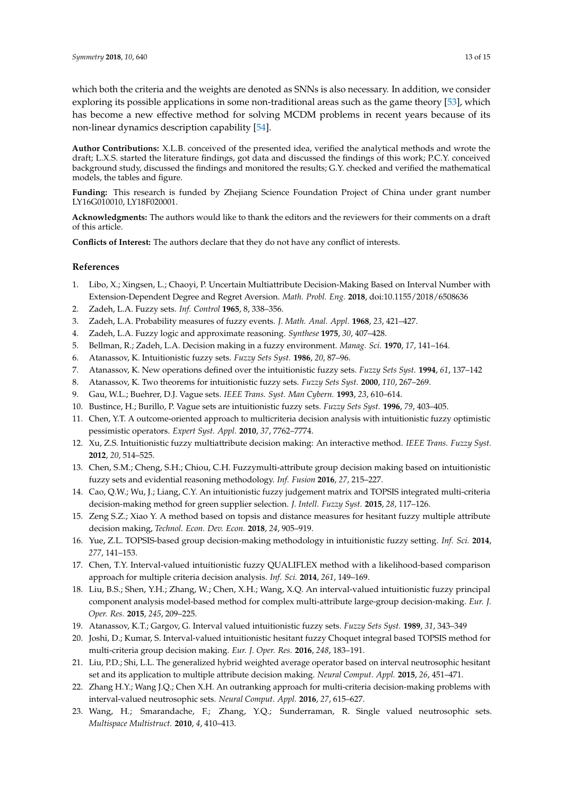which both the criteria and the weights are denoted as SNNs is also necessary. In addition, we consider exploring its possible applications in some non-traditional areas such as the game theory [\[53\]](#page-14-7), which has become a new effective method for solving MCDM problems in recent years because of its non-linear dynamics description capability [\[54\]](#page-14-8).

**Author Contributions:** X.L.B. conceived of the presented idea, verified the analytical methods and wrote the draft; L.X.S. started the literature findings, got data and discussed the findings of this work; P.C.Y. conceived background study, discussed the findings and monitored the results; G.Y. checked and verified the mathematical models, the tables and figure.

**Funding:** This research is funded by Zhejiang Science Foundation Project of China under grant number LY16G010010, LY18F020001.

**Acknowledgments:** The authors would like to thank the editors and the reviewers for their comments on a draft of this article.

**Conflicts of Interest:** The authors declare that they do not have any conflict of interests.

# **References**

- <span id="page-12-0"></span>1. Libo, X.; Xingsen, L.; Chaoyi, P. Uncertain Multiattribute Decision-Making Based on Interval Number with Extension-Dependent Degree and Regret Aversion. *Math. Probl. Eng.* **2018**, doi:10.1155/2018/6508636
- <span id="page-12-1"></span>2. Zadeh, L.A. Fuzzy sets. *Inf. Control* **1965**, 8, 338–356.
- 3. Zadeh, L.A. Probability measures of fuzzy events. *J. Math. Anal. Appl.* **1968**, *23*, 421–427.
- <span id="page-12-2"></span>4. Zadeh, L.A. Fuzzy logic and approximate reasoning. *Synthese* **1975**, *30*, 407–428.
- <span id="page-12-3"></span>5. Bellman, R.; Zadeh, L.A. Decision making in a fuzzy environment. *Manag. Sci.* **1970**, *17*, 141–164.
- <span id="page-12-4"></span>6. Atanassov, K. Intuitionistic fuzzy sets. *Fuzzy Sets Syst.* **1986**, *20*, 87–96.
- 7. Atanassov, K. New operations defined over the intuitionistic fuzzy sets. *Fuzzy Sets Syst.* **1994**, *61*, 137–142
- <span id="page-12-5"></span>8. Atanassov, K. Two theorems for intuitionistic fuzzy sets. *Fuzzy Sets Syst.* **2000**, *110*, 267–269.
- <span id="page-12-6"></span>9. Gau, W.L.; Buehrer, D.J. Vague sets. *IEEE Trans. Syst. Man Cybern.* **1993**, *23*, 610–614.
- <span id="page-12-7"></span>10. Bustince, H.; Burillo, P. Vague sets are intuitionistic fuzzy sets. *Fuzzy Sets Syst.* **1996**, *79*, 403–405.
- <span id="page-12-8"></span>11. Chen, Y.T. A outcome-oriented approach to multicriteria decision analysis with intuitionistic fuzzy optimistic pessimistic operators. *Expert Syst. Appl.* **2010**, *37*, 7762–7774.
- 12. Xu, Z.S. Intuitionistic fuzzy multiattribute decision making: An interactive method. *IEEE Trans. Fuzzy Syst.* **2012**, *20*, 514–525.
- 13. Chen, S.M.; Cheng, S.H.; Chiou, C.H. Fuzzymulti-attribute group decision making based on intuitionistic fuzzy sets and evidential reasoning methodology. *Inf. Fusion* **2016**, *27*, 215–227.
- 14. Cao, Q.W.; Wu, J.; Liang, C.Y. An intuitionistic fuzzy judgement matrix and TOPSIS integrated multi-criteria decision-making method for green supplier selection. *J. Intell. Fuzzy Syst.* **2015**, *28*, 117–126.
- <span id="page-12-9"></span>15. Zeng S.Z.; Xiao Y. A method based on topsis and distance measures for hesitant fuzzy multiple attribute decision making, *Technol. Econ. Dev. Econ.* **2018**, *24*, 905–919.
- <span id="page-12-10"></span>16. Yue, Z.L. TOPSIS-based group decision-making methodology in intuitionistic fuzzy setting. *Inf. Sci.* **2014**, *277*, 141–153.
- 17. Chen, T.Y. Interval-valued intuitionistic fuzzy QUALIFLEX method with a likelihood-based comparison approach for multiple criteria decision analysis. *Inf. Sci.* **2014**, *261*, 149–169.
- 18. Liu, B.S.; Shen, Y.H.; Zhang, W.; Chen, X.H.; Wang, X.Q. An interval-valued intuitionistic fuzzy principal component analysis model-based method for complex multi-attribute large-group decision-making. *Eur. J. Oper. Res.* **2015**, *245*, 209–225.
- <span id="page-12-11"></span>19. Atanassov, K.T.; Gargov, G. Interval valued intuitionistic fuzzy sets. *Fuzzy Sets Syst.* **1989**, *31*, 343–349
- <span id="page-12-12"></span>20. Joshi, D.; Kumar, S. Interval-valued intuitionistic hesitant fuzzy Choquet integral based TOPSIS method for multi-criteria group decision making. *Eur. J. Oper. Res.* **2016**, *248*, 183–191.
- <span id="page-12-13"></span>21. Liu, P.D.; Shi, L.L. The generalized hybrid weighted average operator based on interval neutrosophic hesitant set and its application to multiple attribute decision making. *Neural Comput. Appl.* **2015**, *26*, 451–471.
- <span id="page-12-14"></span>22. Zhang H.Y.; Wang J.Q.; Chen X.H. An outranking approach for multi-criteria decision-making problems with interval-valued neutrosophic sets. *Neural Comput. Appl.* **2016**, *27*, 615–627.
- <span id="page-12-15"></span>23. Wang, H.; Smarandache, F.; Zhang, Y.Q.; Sunderraman, R. Single valued neutrosophic sets. *Multispace Multistruct.* **2010**, *4*, 410–413.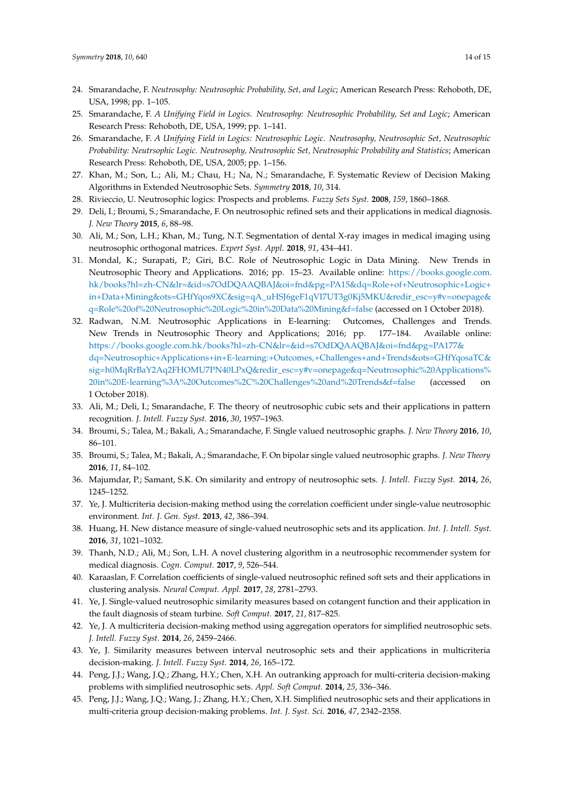- <span id="page-13-0"></span>24. Smarandache, F. *Neutrosophy: Neutrosophic Probability, Set, and Logic*; American Research Press: Rehoboth, DE, USA, 1998; pp. 1–105.
- <span id="page-13-16"></span>25. Smarandache, F. *A Unifying Field in Logics. Neutrosophy: Neutrosophic Probability, Set and Logic*; American Research Press: Rehoboth, DE, USA, 1999; pp. 1–141.
- <span id="page-13-1"></span>26. Smarandache, F. *A Unifying Field in Logics: Neutrosophic Logic. Neutrosophy, Neutrosophic Set, Neutrosophic Probability: Neutrsophic Logic. Neutrosophy, Neutrosophic Set, Neutrosophic Probability and Statistics*; American Research Press: Rehoboth, DE, USA, 2005; pp. 1–156.
- <span id="page-13-2"></span>27. Khan, M.; Son, L.; Ali, M.; Chau, H.; Na, N.; Smarandache, F. Systematic Review of Decision Making Algorithms in Extended Neutrosophic Sets. *Symmetry* **2018**, *10*, 314.
- <span id="page-13-3"></span>28. Rivieccio, U. Neutrosophic logics: Prospects and problems. *Fuzzy Sets Syst.* **2008**, *159*, 1860–1868.
- <span id="page-13-4"></span>29. Deli, I.; Broumi, S.; Smarandache, F. On neutrosophic refined sets and their applications in medical diagnosis. *J. New Theory* **2015**, *6*, 88–98.
- 30. Ali, M.; Son, L.H.; Khan, M.; Tung, N.T. Segmentation of dental X-ray images in medical imaging using neutrosophic orthogonal matrices. *Expert Syst. Appl.* **2018**, *91*, 434–441.
- 31. Mondal, K.; Surapati, P.; Giri, B.C. Role of Neutrosophic Logic in Data Mining. New Trends in Neutrosophic Theory and Applications. 2016; pp. 15–23. Available online: <https://books.google.com.> [hk/books?hl=zh-CN&lr=&id=s7OdDQAAQBAJ&oi=fnd&pg=PA15&dq=Role+of+Neutrosophic+Logic+](hk/books?hl=zh-CN&lr=&id=s7OdDQAAQBAJ&oi=fnd&pg=PA15&dq=Role+of+Neutrosophic+Logic+in+Data+Mining&ots=GHfYqos9XC&sig=qA_uHSJ6geF1qVI7UT3g0Kj5MKU&redir_esc=y#v=onepage&q=Role%20of%20Neutrosophic%20Logic%20in%20Data%20Mining&f=false) [in+Data+Mining&ots=GHfYqos9XC&sig=qA\\_uHSJ6geF1qVI7UT3g0Kj5MKU&redir\\_esc=y#v=onepage&](hk/books?hl=zh-CN&lr=&id=s7OdDQAAQBAJ&oi=fnd&pg=PA15&dq=Role+of+Neutrosophic+Logic+in+Data+Mining&ots=GHfYqos9XC&sig=qA_uHSJ6geF1qVI7UT3g0Kj5MKU&redir_esc=y#v=onepage&q=Role%20of%20Neutrosophic%20Logic%20in%20Data%20Mining&f=false) [q=Role%20of%20Neutrosophic%20Logic%20in%20Data%20Mining&f=false](hk/books?hl=zh-CN&lr=&id=s7OdDQAAQBAJ&oi=fnd&pg=PA15&dq=Role+of+Neutrosophic+Logic+in+Data+Mining&ots=GHfYqos9XC&sig=qA_uHSJ6geF1qVI7UT3g0Kj5MKU&redir_esc=y#v=onepage&q=Role%20of%20Neutrosophic%20Logic%20in%20Data%20Mining&f=false) (accessed on 1 October 2018).
- 32. Radwan, N.M. Neutrosophic Applications in E-learning: Outcomes, Challenges and Trends. New Trends in Neutrosophic Theory and Applications; 2016; pp. 177–184. Available online: [https://books.google.com.hk/books?hl=zh-CN&lr=&id=s7OdDQAAQBAJ&oi=fnd&pg=PA177&](https://books.google.com.hk/books?hl=zh-CN&lr=&id=s7OdDQAAQBAJ&oi=fnd&pg=PA177&dq=Neutrosophic+Applications+in+E-learning:+Outcomes,+Challenges+and+Trends&ots=GHfYqosaTC&sig=h0MqRrBaY2Aq2FHOMU7PN40LPxQ&redir_esc=y#v=onepage&q=Neutrosophic%20Applications%20in%20E-learning%3A%20Outcomes%2C%20Challenges%20and%20Trends&f=false) [dq=Neutrosophic+Applications+in+E-learning:+Outcomes,+Challenges+and+Trends&ots=GHfYqosaTC&](https://books.google.com.hk/books?hl=zh-CN&lr=&id=s7OdDQAAQBAJ&oi=fnd&pg=PA177&dq=Neutrosophic+Applications+in+E-learning:+Outcomes,+Challenges+and+Trends&ots=GHfYqosaTC&sig=h0MqRrBaY2Aq2FHOMU7PN40LPxQ&redir_esc=y#v=onepage&q=Neutrosophic%20Applications%20in%20E-learning%3A%20Outcomes%2C%20Challenges%20and%20Trends&f=false) [sig=h0MqRrBaY2Aq2FHOMU7PN40LPxQ&redir\\_esc=y#v=onepage&q=Neutrosophic%20Applications%](https://books.google.com.hk/books?hl=zh-CN&lr=&id=s7OdDQAAQBAJ&oi=fnd&pg=PA177&dq=Neutrosophic+Applications+in+E-learning:+Outcomes,+Challenges+and+Trends&ots=GHfYqosaTC&sig=h0MqRrBaY2Aq2FHOMU7PN40LPxQ&redir_esc=y#v=onepage&q=Neutrosophic%20Applications%20in%20E-learning%3A%20Outcomes%2C%20Challenges%20and%20Trends&f=false) [20in%20E-learning%3A%20Outcomes%2C%20Challenges%20and%20Trends&f=false](https://books.google.com.hk/books?hl=zh-CN&lr=&id=s7OdDQAAQBAJ&oi=fnd&pg=PA177&dq=Neutrosophic+Applications+in+E-learning:+Outcomes,+Challenges+and+Trends&ots=GHfYqosaTC&sig=h0MqRrBaY2Aq2FHOMU7PN40LPxQ&redir_esc=y#v=onepage&q=Neutrosophic%20Applications%20in%20E-learning%3A%20Outcomes%2C%20Challenges%20and%20Trends&f=false) (accessed on 1 October 2018).
- 33. Ali, M.; Deli, I.; Smarandache, F. The theory of neutrosophic cubic sets and their applications in pattern recognition. *J. Intell. Fuzzy Syst.* **2016**, *30*, 1957–1963.
- 34. Broumi, S.; Talea, M.; Bakali, A.; Smarandache, F. Single valued neutrosophic graphs. *J. New Theory* **2016**, *10*, 86–101.
- <span id="page-13-5"></span>35. Broumi, S.; Talea, M.; Bakali, A.; Smarandache, F. On bipolar single valued neutrosophic graphs. *J. New Theory* **2016**, *11*, 84–102.
- <span id="page-13-6"></span>36. Majumdar, P.; Samant, S.K. On similarity and entropy of neutrosophic sets. *J. Intell. Fuzzy Syst.* **2014**, *26*, 1245–1252.
- <span id="page-13-7"></span>37. Ye, J. Multicriteria decision-making method using the correlation coefficient under single-value neutrosophic environment. *Int. J. Gen. Syst.* **2013**, *42*, 386–394.
- <span id="page-13-8"></span>38. Huang, H. New distance measure of single-valued neutrosophic sets and its application. *Int. J. Intell. Syst.* **2016**, *31*, 1021–1032.
- <span id="page-13-9"></span>39. Thanh, N.D.; Ali, M.; Son, L.H. A novel clustering algorithm in a neutrosophic recommender system for medical diagnosis. *Cogn. Comput.* **2017**, *9*, 526–544.
- <span id="page-13-10"></span>40. Karaaslan, F. Correlation coefficients of single-valued neutrosophic refined soft sets and their applications in clustering analysis. *Neural Comput. Appl.* **2017**, *28*, 2781–2793.
- <span id="page-13-11"></span>41. Ye, J. Single-valued neutrosophic similarity measures based on cotangent function and their application in the fault diagnosis of steam turbine. *Soft Comput.* **2017**, *21*, 817–825.
- <span id="page-13-12"></span>42. Ye, J. A multicriteria decision-making method using aggregation operators for simplified neutrosophic sets. *J. Intell. Fuzzy Syst.* **2014**, *26*, 2459–2466.
- <span id="page-13-13"></span>43. Ye, J. Similarity measures between interval neutrosophic sets and their applications in multicriteria decision-making. *J. Intell. Fuzzy Syst.* **2014**, *26*, 165–172.
- <span id="page-13-14"></span>44. Peng, J.J.; Wang, J.Q.; Zhang, H.Y.; Chen, X.H. An outranking approach for multi-criteria decision-making problems with simplified neutrosophic sets. *Appl. Soft Comput.* **2014**, *25*, 336–346.
- <span id="page-13-15"></span>45. Peng, J.J.; Wang, J.Q.; Wang, J.; Zhang, H.Y.; Chen, X.H. Simplified neutrosophic sets and their applications in multi-criteria group decision-making problems. *Int. J. Syst. Sci.* **2016**, *47*, 2342–2358.